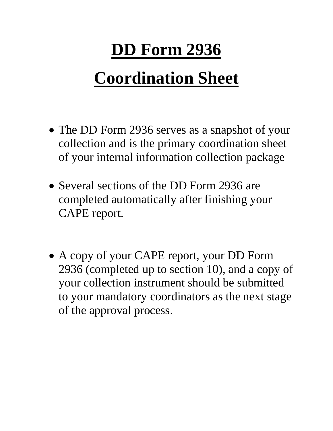## **DD Form 2936**

## **Coordination Sheet**

- The DD Form 2936 serves as a snapshot of your collection and is the primary coordination sheet of your internal information collection package
- Several sections of the DD Form 2936 are completed automatically after finishing your CAPE report.
- A copy of your CAPE report, your DD Form 2936 (completed up to section 10), and a copy of your collection instrument should be submitted to your mandatory coordinators as the next stage of the approval process.